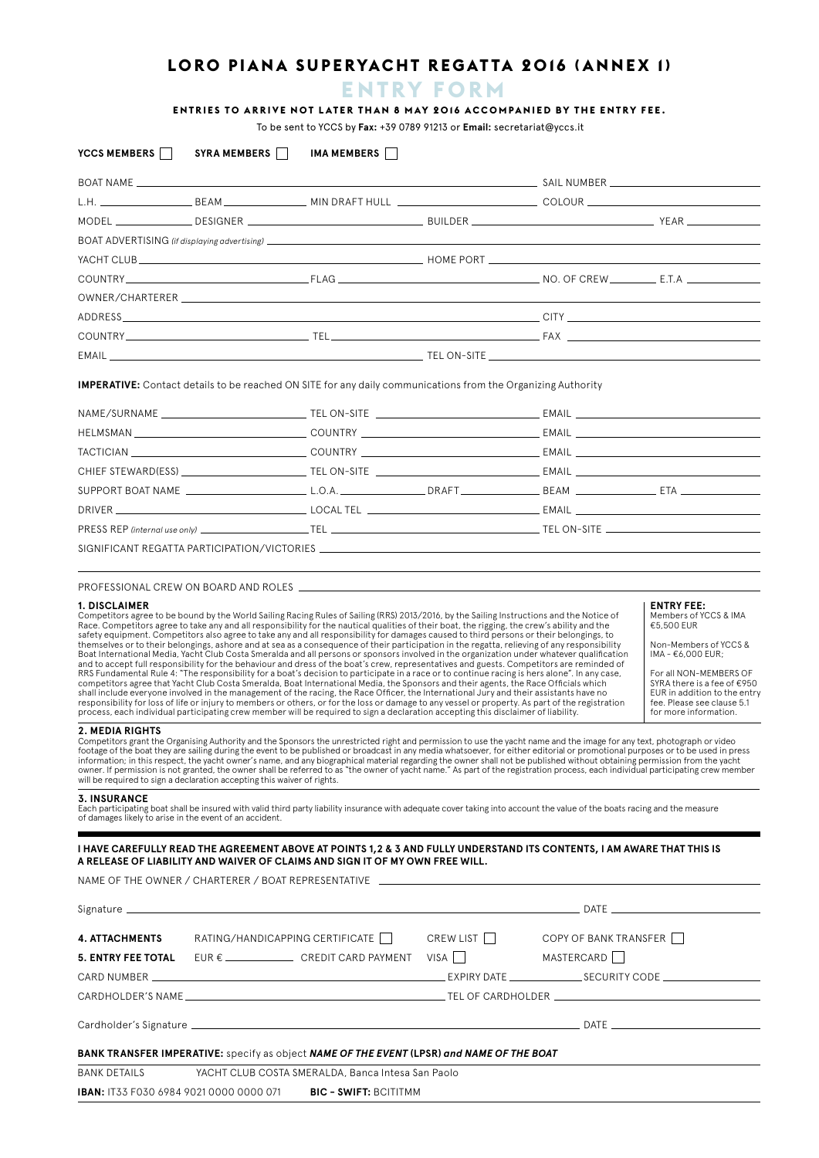# **LORO PIANA SUPERYACHT REGATTA 2016 (ANNEX 1)**

# **ENTRY FORM**

## **ENTRIES TO ARRIVE NOT LATER THAN 8 MAY 2016 ACCOMPANIED BY THE ENTRY FEE.**

To be sent to YCCS by **Fax:** +39 0789 91213 or **Email:** secretariat@yccs.it

| YCCS MEMBERS                                                                                                                                                                                                | SYRA MEMBERS                    | IMA MEMBERS                                                                                                                                                                                                                                                                                                                                                                                                                                                                                                                                                                                                                                                                                                                                                                                                                                                                                                                                                                                                                                                                                                                                                                                                                                                                                                                                                                                                                                                                                                                                                                                                                                                                                                                                                                                                                                                                                                                                                                                                                                                                                                                                                                                                                                                                                                                                                                                                                                                                                                                                                                                                                                      |           |                       |                                                                                                                                                                                                                                                        |
|-------------------------------------------------------------------------------------------------------------------------------------------------------------------------------------------------------------|---------------------------------|--------------------------------------------------------------------------------------------------------------------------------------------------------------------------------------------------------------------------------------------------------------------------------------------------------------------------------------------------------------------------------------------------------------------------------------------------------------------------------------------------------------------------------------------------------------------------------------------------------------------------------------------------------------------------------------------------------------------------------------------------------------------------------------------------------------------------------------------------------------------------------------------------------------------------------------------------------------------------------------------------------------------------------------------------------------------------------------------------------------------------------------------------------------------------------------------------------------------------------------------------------------------------------------------------------------------------------------------------------------------------------------------------------------------------------------------------------------------------------------------------------------------------------------------------------------------------------------------------------------------------------------------------------------------------------------------------------------------------------------------------------------------------------------------------------------------------------------------------------------------------------------------------------------------------------------------------------------------------------------------------------------------------------------------------------------------------------------------------------------------------------------------------------------------------------------------------------------------------------------------------------------------------------------------------------------------------------------------------------------------------------------------------------------------------------------------------------------------------------------------------------------------------------------------------------------------------------------------------------------------------------------------------|-----------|-----------------------|--------------------------------------------------------------------------------------------------------------------------------------------------------------------------------------------------------------------------------------------------------|
|                                                                                                                                                                                                             |                                 |                                                                                                                                                                                                                                                                                                                                                                                                                                                                                                                                                                                                                                                                                                                                                                                                                                                                                                                                                                                                                                                                                                                                                                                                                                                                                                                                                                                                                                                                                                                                                                                                                                                                                                                                                                                                                                                                                                                                                                                                                                                                                                                                                                                                                                                                                                                                                                                                                                                                                                                                                                                                                                                  |           |                       |                                                                                                                                                                                                                                                        |
|                                                                                                                                                                                                             |                                 |                                                                                                                                                                                                                                                                                                                                                                                                                                                                                                                                                                                                                                                                                                                                                                                                                                                                                                                                                                                                                                                                                                                                                                                                                                                                                                                                                                                                                                                                                                                                                                                                                                                                                                                                                                                                                                                                                                                                                                                                                                                                                                                                                                                                                                                                                                                                                                                                                                                                                                                                                                                                                                                  |           |                       |                                                                                                                                                                                                                                                        |
|                                                                                                                                                                                                             |                                 |                                                                                                                                                                                                                                                                                                                                                                                                                                                                                                                                                                                                                                                                                                                                                                                                                                                                                                                                                                                                                                                                                                                                                                                                                                                                                                                                                                                                                                                                                                                                                                                                                                                                                                                                                                                                                                                                                                                                                                                                                                                                                                                                                                                                                                                                                                                                                                                                                                                                                                                                                                                                                                                  |           |                       |                                                                                                                                                                                                                                                        |
|                                                                                                                                                                                                             |                                 |                                                                                                                                                                                                                                                                                                                                                                                                                                                                                                                                                                                                                                                                                                                                                                                                                                                                                                                                                                                                                                                                                                                                                                                                                                                                                                                                                                                                                                                                                                                                                                                                                                                                                                                                                                                                                                                                                                                                                                                                                                                                                                                                                                                                                                                                                                                                                                                                                                                                                                                                                                                                                                                  |           |                       |                                                                                                                                                                                                                                                        |
|                                                                                                                                                                                                             |                                 |                                                                                                                                                                                                                                                                                                                                                                                                                                                                                                                                                                                                                                                                                                                                                                                                                                                                                                                                                                                                                                                                                                                                                                                                                                                                                                                                                                                                                                                                                                                                                                                                                                                                                                                                                                                                                                                                                                                                                                                                                                                                                                                                                                                                                                                                                                                                                                                                                                                                                                                                                                                                                                                  |           |                       |                                                                                                                                                                                                                                                        |
|                                                                                                                                                                                                             |                                 |                                                                                                                                                                                                                                                                                                                                                                                                                                                                                                                                                                                                                                                                                                                                                                                                                                                                                                                                                                                                                                                                                                                                                                                                                                                                                                                                                                                                                                                                                                                                                                                                                                                                                                                                                                                                                                                                                                                                                                                                                                                                                                                                                                                                                                                                                                                                                                                                                                                                                                                                                                                                                                                  |           |                       |                                                                                                                                                                                                                                                        |
|                                                                                                                                                                                                             |                                 |                                                                                                                                                                                                                                                                                                                                                                                                                                                                                                                                                                                                                                                                                                                                                                                                                                                                                                                                                                                                                                                                                                                                                                                                                                                                                                                                                                                                                                                                                                                                                                                                                                                                                                                                                                                                                                                                                                                                                                                                                                                                                                                                                                                                                                                                                                                                                                                                                                                                                                                                                                                                                                                  |           |                       |                                                                                                                                                                                                                                                        |
|                                                                                                                                                                                                             |                                 |                                                                                                                                                                                                                                                                                                                                                                                                                                                                                                                                                                                                                                                                                                                                                                                                                                                                                                                                                                                                                                                                                                                                                                                                                                                                                                                                                                                                                                                                                                                                                                                                                                                                                                                                                                                                                                                                                                                                                                                                                                                                                                                                                                                                                                                                                                                                                                                                                                                                                                                                                                                                                                                  |           |                       |                                                                                                                                                                                                                                                        |
|                                                                                                                                                                                                             |                                 |                                                                                                                                                                                                                                                                                                                                                                                                                                                                                                                                                                                                                                                                                                                                                                                                                                                                                                                                                                                                                                                                                                                                                                                                                                                                                                                                                                                                                                                                                                                                                                                                                                                                                                                                                                                                                                                                                                                                                                                                                                                                                                                                                                                                                                                                                                                                                                                                                                                                                                                                                                                                                                                  |           |                       |                                                                                                                                                                                                                                                        |
|                                                                                                                                                                                                             |                                 |                                                                                                                                                                                                                                                                                                                                                                                                                                                                                                                                                                                                                                                                                                                                                                                                                                                                                                                                                                                                                                                                                                                                                                                                                                                                                                                                                                                                                                                                                                                                                                                                                                                                                                                                                                                                                                                                                                                                                                                                                                                                                                                                                                                                                                                                                                                                                                                                                                                                                                                                                                                                                                                  |           |                       |                                                                                                                                                                                                                                                        |
|                                                                                                                                                                                                             |                                 | <b>IMPERATIVE:</b> Contact details to be reached ON SITE for any daily communications from the Organizing Authority                                                                                                                                                                                                                                                                                                                                                                                                                                                                                                                                                                                                                                                                                                                                                                                                                                                                                                                                                                                                                                                                                                                                                                                                                                                                                                                                                                                                                                                                                                                                                                                                                                                                                                                                                                                                                                                                                                                                                                                                                                                                                                                                                                                                                                                                                                                                                                                                                                                                                                                              |           |                       |                                                                                                                                                                                                                                                        |
|                                                                                                                                                                                                             |                                 |                                                                                                                                                                                                                                                                                                                                                                                                                                                                                                                                                                                                                                                                                                                                                                                                                                                                                                                                                                                                                                                                                                                                                                                                                                                                                                                                                                                                                                                                                                                                                                                                                                                                                                                                                                                                                                                                                                                                                                                                                                                                                                                                                                                                                                                                                                                                                                                                                                                                                                                                                                                                                                                  |           |                       |                                                                                                                                                                                                                                                        |
|                                                                                                                                                                                                             |                                 |                                                                                                                                                                                                                                                                                                                                                                                                                                                                                                                                                                                                                                                                                                                                                                                                                                                                                                                                                                                                                                                                                                                                                                                                                                                                                                                                                                                                                                                                                                                                                                                                                                                                                                                                                                                                                                                                                                                                                                                                                                                                                                                                                                                                                                                                                                                                                                                                                                                                                                                                                                                                                                                  |           |                       |                                                                                                                                                                                                                                                        |
|                                                                                                                                                                                                             |                                 |                                                                                                                                                                                                                                                                                                                                                                                                                                                                                                                                                                                                                                                                                                                                                                                                                                                                                                                                                                                                                                                                                                                                                                                                                                                                                                                                                                                                                                                                                                                                                                                                                                                                                                                                                                                                                                                                                                                                                                                                                                                                                                                                                                                                                                                                                                                                                                                                                                                                                                                                                                                                                                                  |           |                       |                                                                                                                                                                                                                                                        |
|                                                                                                                                                                                                             |                                 |                                                                                                                                                                                                                                                                                                                                                                                                                                                                                                                                                                                                                                                                                                                                                                                                                                                                                                                                                                                                                                                                                                                                                                                                                                                                                                                                                                                                                                                                                                                                                                                                                                                                                                                                                                                                                                                                                                                                                                                                                                                                                                                                                                                                                                                                                                                                                                                                                                                                                                                                                                                                                                                  |           |                       |                                                                                                                                                                                                                                                        |
|                                                                                                                                                                                                             |                                 |                                                                                                                                                                                                                                                                                                                                                                                                                                                                                                                                                                                                                                                                                                                                                                                                                                                                                                                                                                                                                                                                                                                                                                                                                                                                                                                                                                                                                                                                                                                                                                                                                                                                                                                                                                                                                                                                                                                                                                                                                                                                                                                                                                                                                                                                                                                                                                                                                                                                                                                                                                                                                                                  |           |                       |                                                                                                                                                                                                                                                        |
|                                                                                                                                                                                                             |                                 |                                                                                                                                                                                                                                                                                                                                                                                                                                                                                                                                                                                                                                                                                                                                                                                                                                                                                                                                                                                                                                                                                                                                                                                                                                                                                                                                                                                                                                                                                                                                                                                                                                                                                                                                                                                                                                                                                                                                                                                                                                                                                                                                                                                                                                                                                                                                                                                                                                                                                                                                                                                                                                                  |           |                       |                                                                                                                                                                                                                                                        |
|                                                                                                                                                                                                             |                                 |                                                                                                                                                                                                                                                                                                                                                                                                                                                                                                                                                                                                                                                                                                                                                                                                                                                                                                                                                                                                                                                                                                                                                                                                                                                                                                                                                                                                                                                                                                                                                                                                                                                                                                                                                                                                                                                                                                                                                                                                                                                                                                                                                                                                                                                                                                                                                                                                                                                                                                                                                                                                                                                  |           |                       |                                                                                                                                                                                                                                                        |
|                                                                                                                                                                                                             |                                 |                                                                                                                                                                                                                                                                                                                                                                                                                                                                                                                                                                                                                                                                                                                                                                                                                                                                                                                                                                                                                                                                                                                                                                                                                                                                                                                                                                                                                                                                                                                                                                                                                                                                                                                                                                                                                                                                                                                                                                                                                                                                                                                                                                                                                                                                                                                                                                                                                                                                                                                                                                                                                                                  |           |                       |                                                                                                                                                                                                                                                        |
| <b>1. DISCLAIMER</b><br><b>2. MEDIA RIGHTS</b><br>will be required to sign a declaration accepting this waiver of rights.<br><b>3. INSURANCE</b><br>of damages likely to arise in the event of an accident. |                                 | Competitors agree to be bound by the World Sailing Racing Rules of Sailing (RRS) 2013/2016, by the Sailing Instructions and the Notice of<br>Race. Competitors agree to take any and all responsibility for the nautical qualities of their boat, the rigging, the crew's ability and the<br>safety equipment. Competitors also agree to take any and all responsibility for damages caused to third persons or their belongings, to<br>themselves or to their belongings, ashore and at sea as a consequence of their participation in the regatta, relieving of any responsibility<br>Boat International Media, Yacht Club Costa Smeralda and all persons or sponsors involved in the organization under whatever qualification<br>and to accept full responsibility for the behaviour and dress of the boat's crew, representatives and guests. Competitors are reminded of<br>RRS Fundamental Rule 4: "The responsibility for a boat's decision to participate in a race or to continue racing is hers alone". In any case,<br>competitors agree that Yacht Club Costa Smeralda, Boat International Media, the Sponsors and their agents, the Race Officials which<br>shall include everyone involved in the management of the racing, the Race Officer, the International Jury and their assistants have no<br>responsibility for loss of life or injury to members or others, or for the loss or damage to any vessel or property. As part of the registration<br>process, each individual participating crew member will be required to sign a declaration accepting this disclaimer of liability.<br>Competitors grant the Organising Authority and the Sponsors the unrestricted right and permission to use the yacht name and the image for any text, photograph or video<br>footage of the boat they are sailing during the event to be published or broadcast in any media whatsoever, for either editorial or promotional purposes or to be used in press<br>information; in this respect, the yacht owner's name, and any biographical material regarding the owner shall not be published without obtaining permission from the yacht<br>owner. If permission is not granted, the owner shall be referred to as "the owner of yacht name." As part of the registration process, each individual participating crew member<br>Each participating boat shall be insured with valid third party liability insurance with adequate cover taking into account the value of the boats racing and the measure<br>I HAVE CAREFULLY READ THE AGREEMENT ABOVE AT POINTS 1,2 & 3 AND FULLY UNDERSTAND ITS CONTENTS, I AM AWARE THAT THIS IS |           |                       | <b>ENTRY FEE:</b><br>Members of YCCS & IMA<br>€5,500 EUR<br>Non-Members of YCCS &<br>IMA - €6,000 EUR;<br>For all NON-MEMBERS OF<br>SYRA there is a fee of €950<br>EUR in addition to the entry<br>fee. Please see clause 5.1<br>for more information. |
|                                                                                                                                                                                                             |                                 | A RELEASE OF LIABILITY AND WAIVER OF CLAIMS AND SIGN IT OF MY OWN FREE WILL.                                                                                                                                                                                                                                                                                                                                                                                                                                                                                                                                                                                                                                                                                                                                                                                                                                                                                                                                                                                                                                                                                                                                                                                                                                                                                                                                                                                                                                                                                                                                                                                                                                                                                                                                                                                                                                                                                                                                                                                                                                                                                                                                                                                                                                                                                                                                                                                                                                                                                                                                                                     |           |                       |                                                                                                                                                                                                                                                        |
|                                                                                                                                                                                                             |                                 |                                                                                                                                                                                                                                                                                                                                                                                                                                                                                                                                                                                                                                                                                                                                                                                                                                                                                                                                                                                                                                                                                                                                                                                                                                                                                                                                                                                                                                                                                                                                                                                                                                                                                                                                                                                                                                                                                                                                                                                                                                                                                                                                                                                                                                                                                                                                                                                                                                                                                                                                                                                                                                                  |           |                       |                                                                                                                                                                                                                                                        |
| <b>4. ATTACHMENTS</b>                                                                                                                                                                                       | RATING/HANDICAPPING CERTIFICATE |                                                                                                                                                                                                                                                                                                                                                                                                                                                                                                                                                                                                                                                                                                                                                                                                                                                                                                                                                                                                                                                                                                                                                                                                                                                                                                                                                                                                                                                                                                                                                                                                                                                                                                                                                                                                                                                                                                                                                                                                                                                                                                                                                                                                                                                                                                                                                                                                                                                                                                                                                                                                                                                  | CREW LIST | COPY OF BANK TRANSFER |                                                                                                                                                                                                                                                        |
| 5. ENTRY FEE TOTAL                                                                                                                                                                                          |                                 |                                                                                                                                                                                                                                                                                                                                                                                                                                                                                                                                                                                                                                                                                                                                                                                                                                                                                                                                                                                                                                                                                                                                                                                                                                                                                                                                                                                                                                                                                                                                                                                                                                                                                                                                                                                                                                                                                                                                                                                                                                                                                                                                                                                                                                                                                                                                                                                                                                                                                                                                                                                                                                                  |           | <b>MASTERCARD</b>     |                                                                                                                                                                                                                                                        |
|                                                                                                                                                                                                             |                                 |                                                                                                                                                                                                                                                                                                                                                                                                                                                                                                                                                                                                                                                                                                                                                                                                                                                                                                                                                                                                                                                                                                                                                                                                                                                                                                                                                                                                                                                                                                                                                                                                                                                                                                                                                                                                                                                                                                                                                                                                                                                                                                                                                                                                                                                                                                                                                                                                                                                                                                                                                                                                                                                  |           |                       |                                                                                                                                                                                                                                                        |
|                                                                                                                                                                                                             |                                 |                                                                                                                                                                                                                                                                                                                                                                                                                                                                                                                                                                                                                                                                                                                                                                                                                                                                                                                                                                                                                                                                                                                                                                                                                                                                                                                                                                                                                                                                                                                                                                                                                                                                                                                                                                                                                                                                                                                                                                                                                                                                                                                                                                                                                                                                                                                                                                                                                                                                                                                                                                                                                                                  |           |                       |                                                                                                                                                                                                                                                        |
|                                                                                                                                                                                                             |                                 |                                                                                                                                                                                                                                                                                                                                                                                                                                                                                                                                                                                                                                                                                                                                                                                                                                                                                                                                                                                                                                                                                                                                                                                                                                                                                                                                                                                                                                                                                                                                                                                                                                                                                                                                                                                                                                                                                                                                                                                                                                                                                                                                                                                                                                                                                                                                                                                                                                                                                                                                                                                                                                                  |           |                       |                                                                                                                                                                                                                                                        |
|                                                                                                                                                                                                             |                                 | BANK TRANSFER IMPERATIVE: specify as object NAME OF THE EVENT (LPSR) and NAME OF THE BOAT                                                                                                                                                                                                                                                                                                                                                                                                                                                                                                                                                                                                                                                                                                                                                                                                                                                                                                                                                                                                                                                                                                                                                                                                                                                                                                                                                                                                                                                                                                                                                                                                                                                                                                                                                                                                                                                                                                                                                                                                                                                                                                                                                                                                                                                                                                                                                                                                                                                                                                                                                        |           |                       |                                                                                                                                                                                                                                                        |
| <b>BANK DETAILS</b>                                                                                                                                                                                         |                                 | YACHT CLUB COSTA SMERALDA, Banca Intesa San Paolo                                                                                                                                                                                                                                                                                                                                                                                                                                                                                                                                                                                                                                                                                                                                                                                                                                                                                                                                                                                                                                                                                                                                                                                                                                                                                                                                                                                                                                                                                                                                                                                                                                                                                                                                                                                                                                                                                                                                                                                                                                                                                                                                                                                                                                                                                                                                                                                                                                                                                                                                                                                                |           |                       |                                                                                                                                                                                                                                                        |
| <b>IBAN: IT33 F030 6984 9021 0000 0000 071</b>                                                                                                                                                              |                                 | <b>BIC - SWIFT: BCITITMM</b>                                                                                                                                                                                                                                                                                                                                                                                                                                                                                                                                                                                                                                                                                                                                                                                                                                                                                                                                                                                                                                                                                                                                                                                                                                                                                                                                                                                                                                                                                                                                                                                                                                                                                                                                                                                                                                                                                                                                                                                                                                                                                                                                                                                                                                                                                                                                                                                                                                                                                                                                                                                                                     |           |                       |                                                                                                                                                                                                                                                        |